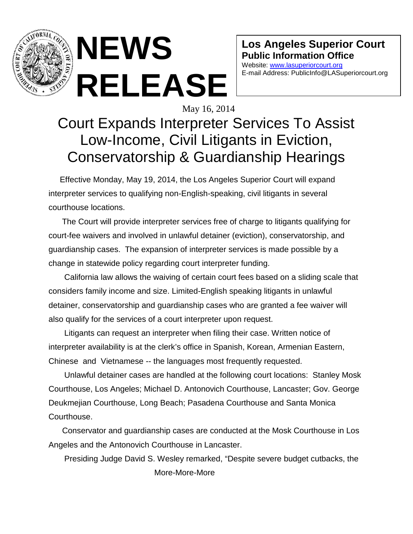

 **NEWS RELEASE**

**Los Angeles Superior Court Public Information Office**

Website: [www.lasuperiorcourt.org](http://www.lasuperiorcourt.org/) E-mail Address: PublicInfo@LASuperiorcourt.org

## May 16, 2014 Court Expands Interpreter Services To Assist Low-Income, Civil Litigants in Eviction, Conservatorship & Guardianship Hearings

 Effective Monday, May 19, 2014, the Los Angeles Superior Court will expand interpreter services to qualifying non-English-speaking, civil litigants in several courthouse locations.

 The Court will provide interpreter services free of charge to litigants qualifying for court-fee waivers and involved in unlawful detainer (eviction), conservatorship, and guardianship cases. The expansion of interpreter services is made possible by a change in statewide policy regarding court interpreter funding.

 California law allows the waiving of certain court fees based on a sliding scale that considers family income and size. Limited-English speaking litigants in unlawful detainer, conservatorship and guardianship cases who are granted a fee waiver will also qualify for the services of a court interpreter upon request.

 Litigants can request an interpreter when filing their case. Written notice of interpreter availability is at the clerk's office in Spanish, Korean, Armenian Eastern, Chinese and Vietnamese -- the languages most frequently requested.

 Unlawful detainer cases are handled at the following court locations: Stanley Mosk Courthouse, Los Angeles; Michael D. Antonovich Courthouse, Lancaster; Gov. George Deukmejian Courthouse, Long Beach; Pasadena Courthouse and Santa Monica Courthouse.

 Conservator and guardianship cases are conducted at the Mosk Courthouse in Los Angeles and the Antonovich Courthouse in Lancaster.

 Presiding Judge David S. Wesley remarked, "Despite severe budget cutbacks, the More-More-More